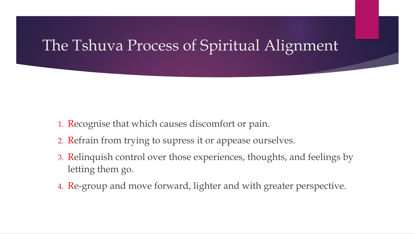# The Tshuva Process of Spiritual Alignment

- 1. Recognise that which causes discomfort or pain.
- 2. Refrain from trying to supress it or appease ourselves.
- 3. Relinquish control over those experiences, thoughts, and feelings by letting them go.
- 4. Re-group and move forward, lighter and with greater perspective.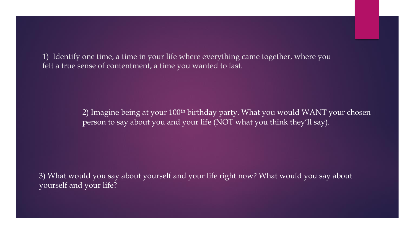1) Identify one time, a time in your life where everything came together, where you felt a true sense of contentment, a time you wanted to last.

> 2) Imagine being at your 100<sup>th</sup> birthday party. What you would WANT your chosen person to say about you and your life (NOT what you think they'll say).

3) What would you say about yourself and your life right now? What would you say about yourself and your life?